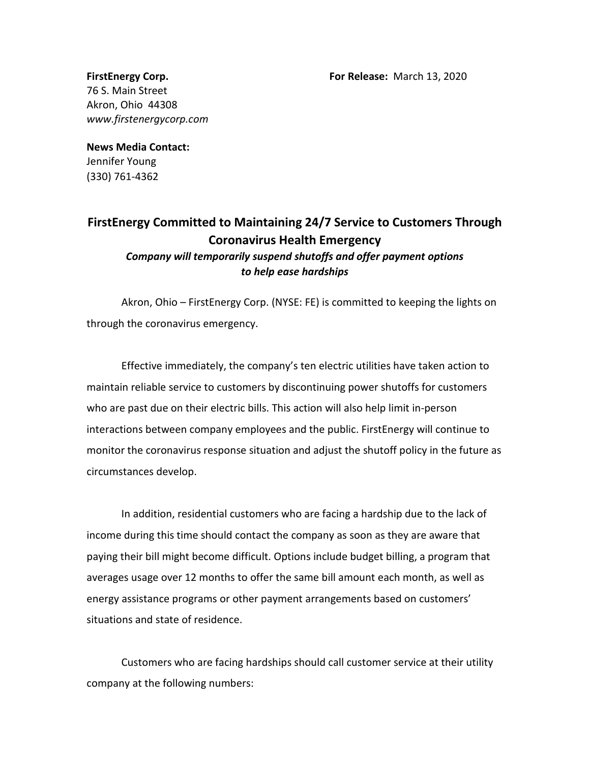**FirstEnergy Corp. For Release:** March 13, 2020

76 S. Main Street Akron, Ohio 44308 *www.firstenergycorp.com*

## **News Media Contact:** Jennifer Young (330) 761-4362

## **FirstEnergy Committed to Maintaining 24/7 Service to Customers Through Coronavirus Health Emergency** *Company will temporarily suspend shutoffs and offer payment options to help ease hardships*

Akron, Ohio – FirstEnergy Corp. (NYSE: FE) is committed to keeping the lights on through the coronavirus emergency.

Effective immediately, the company's ten electric utilities have taken action to maintain reliable service to customers by discontinuing power shutoffs for customers who are past due on their electric bills. This action will also help limit in-person interactions between company employees and the public. FirstEnergy will continue to monitor the coronavirus response situation and adjust the shutoff policy in the future as circumstances develop.

In addition, residential customers who are facing a hardship due to the lack of income during this time should contact the company as soon as they are aware that paying their bill might become difficult. Options include budget billing, a program that averages usage over 12 months to offer the same bill amount each month, as well as energy assistance programs or other payment arrangements based on customers' situations and state of residence.

Customers who are facing hardships should call customer service at their utility company at the following numbers: